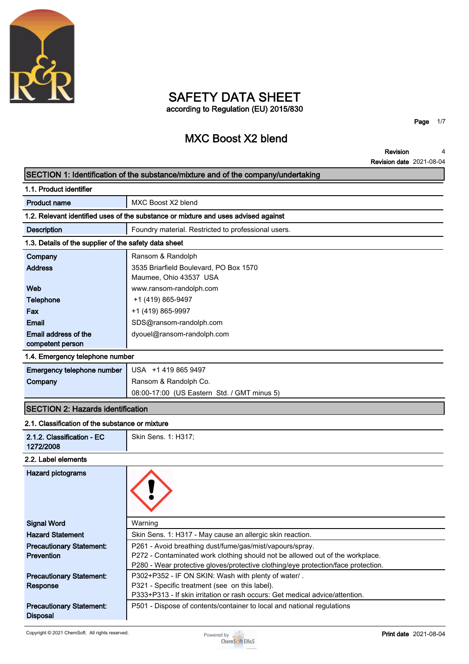

# **SAFETY DATA SHEET according to Regulation (EU) 2015/830**

**MXC Boost X2 blend**

**Page 1/7**

**Revision Revision date 2021-08-04 4**

#### **SECTION 1: Identification of the substance/mixture and of the company/undertaking**

| 1.1. Product identifier                                                            |                                                     |  |
|------------------------------------------------------------------------------------|-----------------------------------------------------|--|
| <b>Product name</b>                                                                | MXC Boost X2 blend                                  |  |
| 1.2. Relevant identified uses of the substance or mixture and uses advised against |                                                     |  |
| <b>Description</b>                                                                 | Foundry material. Restricted to professional users. |  |
| 1.3. Details of the supplier of the safety data sheet                              |                                                     |  |
| Company                                                                            | Ransom & Randolph                                   |  |
| <b>Address</b>                                                                     | 3535 Briarfield Boulevard, PO Box 1570              |  |
|                                                                                    | Maumee, Ohio 43537 USA                              |  |
| Web                                                                                | www.ransom-randolph.com                             |  |
| <b>Telephone</b>                                                                   | +1 (419) 865-9497                                   |  |
| Fax                                                                                | +1 (419) 865-9997                                   |  |
| Email                                                                              | SDS@ransom-randolph.com                             |  |
| Email address of the                                                               | dyouel@ransom-randolph.com                          |  |
| competent person                                                                   |                                                     |  |

#### **1.4. Emergency telephone number**

| <b>Emergency telephone number</b> USA +1 419 865 9497 |                                             |  |
|-------------------------------------------------------|---------------------------------------------|--|
| Company                                               | Ransom & Randolph Co.                       |  |
|                                                       | 08:00-17:00 (US Eastern Std. / GMT minus 5) |  |

### **SECTION 2: Hazards identification**

#### **2.1. Classification of the substance or mixture**

| 2.1.2. Classification - EC<br>1272/2008 | Skin Sens. 1: H317; |
|-----------------------------------------|---------------------|
| 2.2. Label elements                     |                     |

| <b>Hazard pictograms</b>        |                                                                                   |
|---------------------------------|-----------------------------------------------------------------------------------|
| <b>Signal Word</b>              | Warning                                                                           |
| <b>Hazard Statement</b>         | Skin Sens. 1: H317 - May cause an allergic skin reaction.                         |
| <b>Precautionary Statement:</b> | P261 - Avoid breathing dust/fume/gas/mist/vapours/spray.                          |
| Prevention                      | P272 - Contaminated work clothing should not be allowed out of the workplace.     |
|                                 | P280 - Wear protective gloves/protective clothing/eye protection/face protection. |
| <b>Precautionary Statement:</b> | P302+P352 - IF ON SKIN: Wash with plenty of water/.                               |
| Response                        | P321 - Specific treatment (see on this label).                                    |
|                                 | P333+P313 - If skin irritation or rash occurs: Get medical advice/attention.      |
| <b>Precautionary Statement:</b> | P501 - Dispose of contents/container to local and national regulations            |
| <b>Disposal</b>                 |                                                                                   |

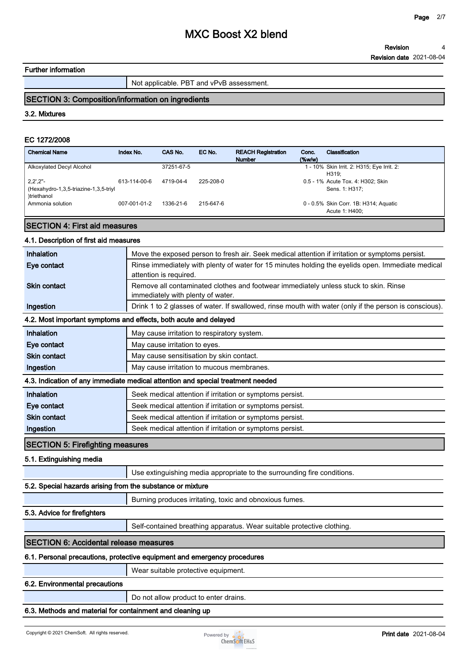### **Further information**

**Not applicable. PBT and vPvB assessment.**

# **SECTION 3: Composition/information on ingredients**

#### **3.2. Mixtures**

#### **EC 1272/2008**

| <b>Chemical Name</b>                                                                      | Index No.    | CAS No.    | EC No.    | <b>REACH Registration</b><br><b>Number</b> | Conc.<br>$(\%w/w)$ | Classification                                          |
|-------------------------------------------------------------------------------------------|--------------|------------|-----------|--------------------------------------------|--------------------|---------------------------------------------------------|
| Alkoxylated Decyl Alcohol                                                                 |              | 37251-67-5 |           |                                            |                    | 1 - 10% Skin Irrit. 2: H315; Eye Irrit. 2:<br>H319:     |
| $2,2^{\prime},2^{\prime\prime}$ -<br>(Hexahydro-1,3,5-triazine-1,3,5-triyl<br>)triethanol | 613-114-00-6 | 4719-04-4  | 225-208-0 |                                            |                    | 0.5 - 1% Acute Tox. 4: H302; Skin<br>Sens. 1: H317:     |
| Ammonia solution                                                                          | 007-001-01-2 | 1336-21-6  | 215-647-6 |                                            |                    | 0 - 0.5% Skin Corr. 1B: H314; Aquatic<br>Acute 1: H400: |

## **SECTION 4: First aid measures**

#### **4.1. Description of first aid measures**

| Inhalation                                                 | Move the exposed person to fresh air. Seek medical attention if irritation or symptoms persist.                             |
|------------------------------------------------------------|-----------------------------------------------------------------------------------------------------------------------------|
| Eye contact                                                | Rinse immediately with plenty of water for 15 minutes holding the eyelids open. Immediate medical<br>attention is required. |
| <b>Skin contact</b>                                        | Remove all contaminated clothes and footwear immediately unless stuck to skin. Rinse<br>immediately with plenty of water.   |
| Ingestion                                                  | Drink 1 to 2 glasses of water. If swallowed, rinse mouth with water (only if the person is conscious).                      |
|                                                            | 4.2. Most important symptoms and effects, both acute and delayed                                                            |
| Inhalation                                                 | May cause irritation to respiratory system.                                                                                 |
| Eye contact                                                | May cause irritation to eyes.                                                                                               |
| <b>Skin contact</b>                                        | May cause sensitisation by skin contact.                                                                                    |
| Ingestion                                                  | May cause irritation to mucous membranes.                                                                                   |
|                                                            | 4.3. Indication of any immediate medical attention and special treatment needed                                             |
| Inhalation                                                 | Seek medical attention if irritation or symptoms persist.                                                                   |
| Eye contact                                                | Seek medical attention if irritation or symptoms persist.                                                                   |
| <b>Skin contact</b>                                        | Seek medical attention if irritation or symptoms persist.                                                                   |
| Ingestion                                                  | Seek medical attention if irritation or symptoms persist.                                                                   |
| <b>SECTION 5: Firefighting measures</b>                    |                                                                                                                             |
| 5.1. Extinguishing media                                   |                                                                                                                             |
|                                                            | Use extinguishing media appropriate to the surrounding fire conditions.                                                     |
| 5.2. Special hazards arising from the substance or mixture |                                                                                                                             |
|                                                            | Burning produces irritating, toxic and obnoxious fumes.                                                                     |
| 5.3. Advice for firefighters                               |                                                                                                                             |
|                                                            | Self-contained breathing apparatus. Wear suitable protective clothing.                                                      |
| <b>SECTION 6: Accidental release measures</b>              |                                                                                                                             |
|                                                            | 6.1. Personal precautions, protective equipment and emergency procedures                                                    |
|                                                            | Wear suitable protective equipment.                                                                                         |
| 6.2. Environmental precautions                             |                                                                                                                             |
|                                                            | Do not allow product to enter drains.                                                                                       |
|                                                            |                                                                                                                             |
|                                                            | 6.3. Methods and material for containment and cleaning up                                                                   |

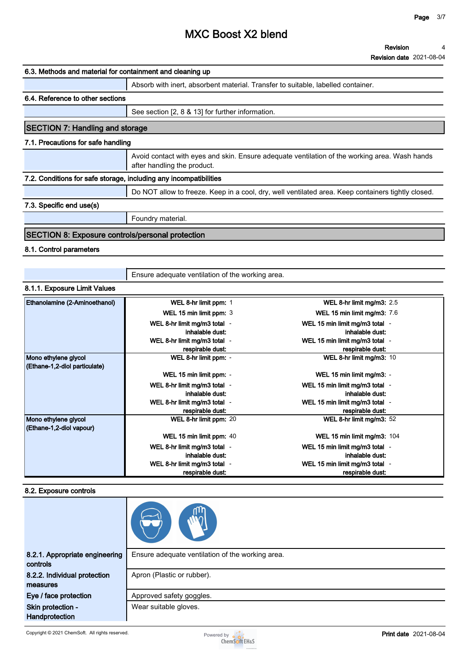**Revision date 2021-08-04**

| 6.3. Methods and material for containment and cleaning up         |                                                                                                                              |  |  |
|-------------------------------------------------------------------|------------------------------------------------------------------------------------------------------------------------------|--|--|
|                                                                   | Absorb with inert, absorbent material. Transfer to suitable, labelled container.                                             |  |  |
| 6.4. Reference to other sections                                  |                                                                                                                              |  |  |
|                                                                   | See section [2, 8 & 13] for further information.                                                                             |  |  |
| <b>SECTION 7: Handling and storage</b>                            |                                                                                                                              |  |  |
| 7.1. Precautions for safe handling                                |                                                                                                                              |  |  |
|                                                                   | Avoid contact with eyes and skin. Ensure adequate ventilation of the working area. Wash hands<br>after handling the product. |  |  |
| 7.2. Conditions for safe storage, including any incompatibilities |                                                                                                                              |  |  |
|                                                                   | Do NOT allow to freeze. Keep in a cool, dry, well ventilated area. Keep containers tightly closed.                           |  |  |
| 7.3. Specific end use(s)                                          |                                                                                                                              |  |  |
|                                                                   | Foundry material.                                                                                                            |  |  |
|                                                                   |                                                                                                                              |  |  |

#### **SECTION 8: Exposure controls/personal protection**

### **8.1. Control parameters**

**Ensure adequate ventilation of the working area.**

# **8.1.1. Exposure Limit Values**

| Ethanolamine (2-Aminoethanol)                         | WEL 8-hr limit ppm: 1        | WEL 8-hr limit mg/m3: $2.5$        |
|-------------------------------------------------------|------------------------------|------------------------------------|
|                                                       | WEL 15 min limit ppm: 3      | <b>WEL 15 min limit mg/m3: 7.6</b> |
|                                                       | WEL 8-hr limit mg/m3 total - | WEL 15 min limit mg/m3 total -     |
|                                                       | inhalable dust:              | inhalable dust:                    |
|                                                       | WEL 8-hr limit mg/m3 total - | WEL 15 min limit mg/m3 total -     |
|                                                       | respirable dust:             | respirable dust:                   |
| Mono ethylene glycol<br>(Ethane-1,2-diol particulate) | WEL 8-hr limit ppm: -        | WEL 8-hr limit mg/m3: $10$         |
|                                                       | WEL 15 min limit ppm: -      | WEL 15 min limit mg/m3: -          |
|                                                       | WEL 8-hr limit mg/m3 total - | WEL 15 min limit mg/m3 total -     |
|                                                       | inhalable dust:              | inhalable dust:                    |
|                                                       | WEL 8-hr limit mg/m3 total - | WEL 15 min limit mg/m3 total -     |
|                                                       | respirable dust:             | respirable dust:                   |
| Mono ethylene glycol<br>(Ethane-1,2-diol vapour)      | WEL 8-hr limit ppm: 20       | WEL 8-hr limit mg/m3: $52$         |
|                                                       | WEL 15 min limit ppm: 40     | WEL 15 min limit mg/m3: 104        |
|                                                       | WEL 8-hr limit mg/m3 total - | WEL 15 min limit mg/m3 total -     |
|                                                       | inhalable dust:              | inhalable dust:                    |
|                                                       | WEL 8-hr limit mg/m3 total - | WEL 15 min limit mg/m3 total -     |
|                                                       | respirable dust:             | respirable dust:                   |

#### **8.2. Exposure controls**

| 8.2.1. Appropriate engineering<br>controls | Ensure adequate ventilation of the working area. |
|--------------------------------------------|--------------------------------------------------|
| 8.2.2. Individual protection<br>measures   | Apron (Plastic or rubber).                       |
| Eye / face protection                      | Approved safety goggles.                         |
| Skin protection -<br>Handprotection        | Wear suitable gloves.                            |

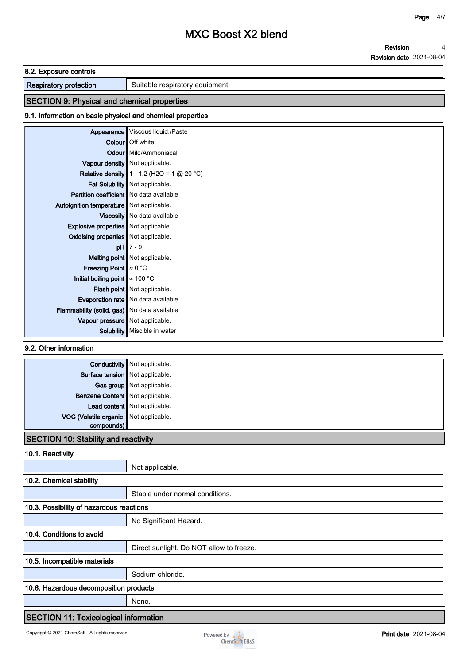**Revision Revision date 2021-08-04 4**

#### **8.2. Exposure controls**

**Respiratory protection** <br>**Suitable respiratory equipment.** 

# **SECTION 9: Physical and chemical properties**

#### **9.1. Information on basic physical and chemical properties**

| Appearance                                     | Viscous liquid./Paste                               |  |
|------------------------------------------------|-----------------------------------------------------|--|
|                                                | <b>Colour</b> Off white                             |  |
|                                                | Odour Mild/Ammoniacal                               |  |
|                                                | Vapour density   Not applicable.                    |  |
|                                                | <b>Relative density</b> $1 - 1.2$ (H2O = 1 @ 20 °C) |  |
|                                                | Fat Solubility   Not applicable.                    |  |
| <b>Partition coefficient</b> No data available |                                                     |  |
| Autoignition temperature   Not applicable.     |                                                     |  |
|                                                | Viscosity   No data available                       |  |
| <b>Explosive properties</b> Not applicable.    |                                                     |  |
| Oxidising properties   Not applicable.         |                                                     |  |
|                                                | $pH$ 7 - 9                                          |  |
|                                                | Melting point Not applicable.                       |  |
| <b>Freezing Point</b> $\approx 0$ °C           |                                                     |  |
| Initial boiling point $\approx 100$ °C         |                                                     |  |
|                                                | Flash point Not applicable.                         |  |
|                                                | <b>Evaporation rate</b> No data available           |  |
| Flammability (solid, gas) No data available    |                                                     |  |
| Vapour pressure Not applicable.                |                                                     |  |
|                                                | Solubility   Miscible in water                      |  |

**9.2. Other information**

| Surface tension Not applicable.<br>Gas group Not applicable. |
|--------------------------------------------------------------|
|                                                              |
|                                                              |
| Benzene Content Not applicable.                              |
| Lead content Not applicable.                                 |
| VOC (Volatile organic Not applicable.                        |
|                                                              |

### **SECTION 10: Stability and reactivity**

**10.1. Reactivity**

|                                              | Not applicable.                          |  |
|----------------------------------------------|------------------------------------------|--|
| 10.2. Chemical stability                     |                                          |  |
|                                              | Stable under normal conditions.          |  |
| 10.3. Possibility of hazardous reactions     |                                          |  |
|                                              | No Significant Hazard.                   |  |
| 10.4. Conditions to avoid                    |                                          |  |
|                                              | Direct sunlight. Do NOT allow to freeze. |  |
| 10.5. Incompatible materials                 |                                          |  |
|                                              | Sodium chloride.                         |  |
| 10.6. Hazardous decomposition products       |                                          |  |
|                                              | None.                                    |  |
| <b>SECTION 11: Toxicological information</b> |                                          |  |

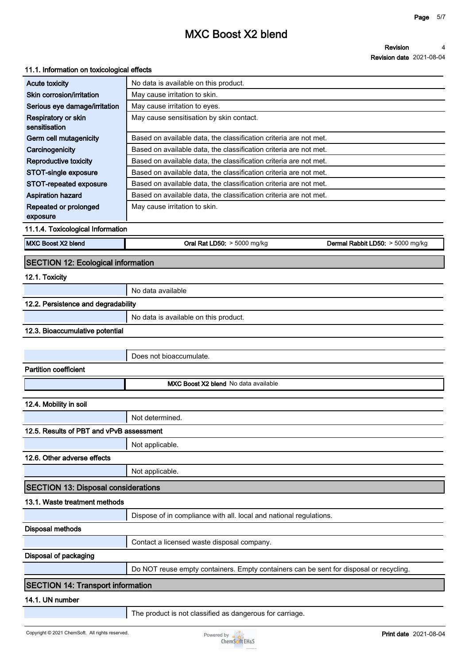#### **Revision 4**

#### **Revision date 2021-08-04**

### **11.1. Information on toxicological effects**

| <b>Acute toxicity</b>                      | No data is available on this product.                                                  |
|--------------------------------------------|----------------------------------------------------------------------------------------|
| Skin corrosion/irritation                  | May cause irritation to skin.                                                          |
| Serious eye damage/irritation              | May cause irritation to eyes.                                                          |
| Respiratory or skin<br>sensitisation       | May cause sensitisation by skin contact.                                               |
| Germ cell mutagenicity                     | Based on available data, the classification criteria are not met.                      |
| Carcinogenicity                            | Based on available data, the classification criteria are not met.                      |
| Reproductive toxicity                      | Based on available data, the classification criteria are not met.                      |
| STOT-single exposure                       | Based on available data, the classification criteria are not met.                      |
| <b>STOT-repeated exposure</b>              | Based on available data, the classification criteria are not met.                      |
| <b>Aspiration hazard</b>                   | Based on available data, the classification criteria are not met.                      |
| Repeated or prolonged<br>exposure          | May cause irritation to skin.                                                          |
| 11.1.4. Toxicological Information          |                                                                                        |
| MXC Boost X2 blend                         | Oral Rat LD50: > 5000 mg/kg<br>Dermal Rabbit LD50: > 5000 mg/kg                        |
| <b>SECTION 12: Ecological information</b>  |                                                                                        |
| 12.1. Toxicity                             |                                                                                        |
|                                            | No data available                                                                      |
| 12.2. Persistence and degradability        |                                                                                        |
|                                            | No data is available on this product.                                                  |
| 12.3. Bioaccumulative potential            |                                                                                        |
|                                            | Does not bioaccumulate.                                                                |
| <b>Partition coefficient</b>               |                                                                                        |
|                                            | MXC Boost X2 blend No data available                                                   |
| 12.4. Mobility in soil                     |                                                                                        |
|                                            | Not determined.                                                                        |
| 12.5. Results of PBT and vPvB assessment   |                                                                                        |
|                                            | Not applicable.                                                                        |
| 12.6. Other adverse effects                |                                                                                        |
|                                            | Not applicable.                                                                        |
| <b>SECTION 13: Disposal considerations</b> |                                                                                        |
| 13.1. Waste treatment methods              |                                                                                        |
|                                            | Dispose of in compliance with all. local and national regulations.                     |
| <b>Disposal methods</b>                    |                                                                                        |
|                                            | Contact a licensed waste disposal company.                                             |
| Disposal of packaging                      |                                                                                        |
|                                            | Do NOT reuse empty containers. Empty containers can be sent for disposal or recycling. |
| <b>SECTION 14: Transport information</b>   |                                                                                        |
| 14.1. UN number                            |                                                                                        |
|                                            | The product is not classified as dangerous for carriage.                               |

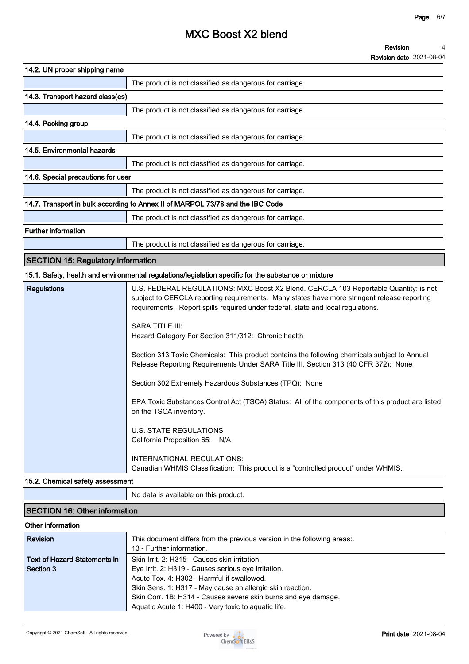**Revision date 2021-08-04**

| 14.2. UN proper shipping name                                                  |                                                          |  |
|--------------------------------------------------------------------------------|----------------------------------------------------------|--|
|                                                                                | The product is not classified as dangerous for carriage. |  |
| 14.3. Transport hazard class(es)                                               |                                                          |  |
|                                                                                | The product is not classified as dangerous for carriage. |  |
| 14.4. Packing group                                                            |                                                          |  |
|                                                                                | The product is not classified as dangerous for carriage. |  |
| 14.5. Environmental hazards                                                    |                                                          |  |
|                                                                                | The product is not classified as dangerous for carriage. |  |
| 14.6. Special precautions for user                                             |                                                          |  |
|                                                                                | The product is not classified as dangerous for carriage. |  |
| 14.7. Transport in bulk according to Annex II of MARPOL 73/78 and the IBC Code |                                                          |  |
|                                                                                | The product is not classified as dangerous for carriage. |  |
| <b>Further information</b>                                                     |                                                          |  |
|                                                                                | The product is not classified as dangerous for carriage. |  |

### **SECTION 15: Regulatory information**

# **15.1. Safety, health and environmental regulations/legislation specific for the substance or mixture**

| <b>Regulations</b> | U.S. FEDERAL REGULATIONS: MXC Boost X2 Blend. CERCLA 103 Reportable Quantity: is not<br>subject to CERCLA reporting requirements. Many states have more stringent release reporting<br>requirements. Report spills required under federal, state and local regulations. |
|--------------------|-------------------------------------------------------------------------------------------------------------------------------------------------------------------------------------------------------------------------------------------------------------------------|
|                    | SARA TITLE III:<br>Hazard Category For Section 311/312: Chronic health                                                                                                                                                                                                  |
|                    | Section 313 Toxic Chemicals: This product contains the following chemicals subject to Annual<br>Release Reporting Requirements Under SARA Title III, Section 313 (40 CFR 372): None                                                                                     |
|                    | Section 302 Extremely Hazardous Substances (TPQ): None                                                                                                                                                                                                                  |
|                    | EPA Toxic Substances Control Act (TSCA) Status: All of the components of this product are listed<br>on the TSCA inventory.                                                                                                                                              |
|                    | U.S. STATE REGULATIONS<br>California Proposition 65: N/A                                                                                                                                                                                                                |
|                    | <b>INTERNATIONAL REGULATIONS:</b><br>Canadian WHMIS Classification: This product is a "controlled product" under WHMIS.                                                                                                                                                 |

### **15.2. Chemical safety assessment**

**No data is available on this product.**

## **SECTION 16: Other information**

| Other information                   |                                                                                                      |
|-------------------------------------|------------------------------------------------------------------------------------------------------|
| <b>Revision</b>                     | This document differs from the previous version in the following areas:<br>13 - Further information. |
|                                     |                                                                                                      |
| <b>Text of Hazard Statements in</b> | Skin Irrit. 2: H315 - Causes skin irritation.                                                        |
| Section 3                           | Eye Irrit. 2: H319 - Causes serious eye irritation.                                                  |
|                                     | Acute Tox. 4: H302 - Harmful if swallowed.                                                           |
|                                     | Skin Sens. 1: H317 - May cause an allergic skin reaction.                                            |
|                                     | Skin Corr. 1B: H314 - Causes severe skin burns and eye damage.                                       |
|                                     | Aquatic Acute 1: H400 - Very toxic to aquatic life.                                                  |